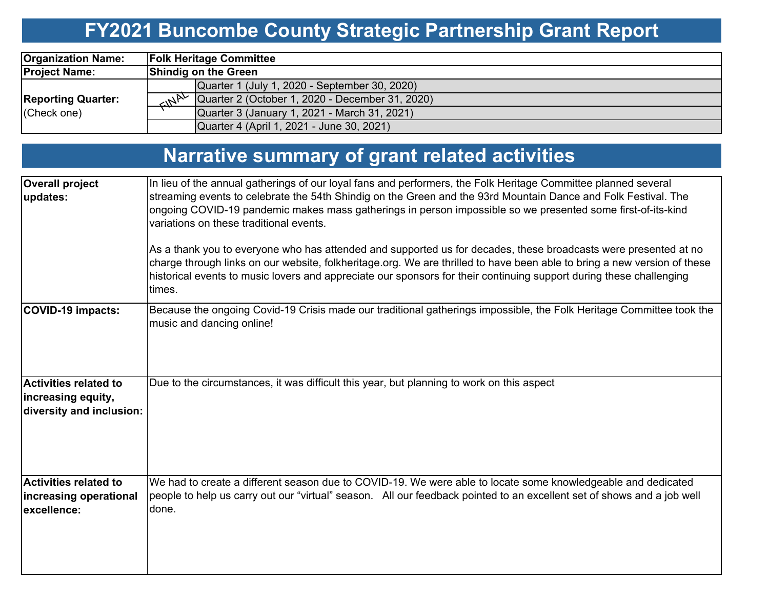# **FY2021 Buncombe County Strategic Partnership Grant Report**

| <b>Organization Name:</b>                |                                                              |  |  |  | <b>Folk Heritage Committee</b> |  |  |
|------------------------------------------|--------------------------------------------------------------|--|--|--|--------------------------------|--|--|
| <b>Project Name:</b>                     | <b>Shindig on the Green</b>                                  |  |  |  |                                |  |  |
|                                          | Quarter 1 (July 1, 2020 - September 30, 2020)                |  |  |  |                                |  |  |
| <b>Reporting Quarter:</b><br>(Check one) | $\sim N^{N}$ Quarter 2 (October 1, 2020 - December 31, 2020) |  |  |  |                                |  |  |
|                                          | Quarter 3 (January 1, 2021 - March 31, 2021)                 |  |  |  |                                |  |  |
|                                          | Quarter 4 (April 1, 2021 - June 30, 2021)                    |  |  |  |                                |  |  |

# **Narrative summary of grant related activities**

| <b>Overall project</b><br>updates:                                             | In lieu of the annual gatherings of our loyal fans and performers, the Folk Heritage Committee planned several<br>streaming events to celebrate the 54th Shindig on the Green and the 93rd Mountain Dance and Folk Festival. The<br>ongoing COVID-19 pandemic makes mass gatherings in person impossible so we presented some first-of-its-kind<br>variations on these traditional events.<br>As a thank you to everyone who has attended and supported us for decades, these broadcasts were presented at no<br>charge through links on our website, folkheritage.org. We are thrilled to have been able to bring a new version of these<br>historical events to music lovers and appreciate our sponsors for their continuing support during these challenging<br>times. |
|--------------------------------------------------------------------------------|----------------------------------------------------------------------------------------------------------------------------------------------------------------------------------------------------------------------------------------------------------------------------------------------------------------------------------------------------------------------------------------------------------------------------------------------------------------------------------------------------------------------------------------------------------------------------------------------------------------------------------------------------------------------------------------------------------------------------------------------------------------------------|
| <b>COVID-19 impacts:</b>                                                       | Because the ongoing Covid-19 Crisis made our traditional gatherings impossible, the Folk Heritage Committee took the<br>music and dancing online!                                                                                                                                                                                                                                                                                                                                                                                                                                                                                                                                                                                                                          |
| <b>Activities related to</b><br>increasing equity,<br>diversity and inclusion: | Due to the circumstances, it was difficult this year, but planning to work on this aspect                                                                                                                                                                                                                                                                                                                                                                                                                                                                                                                                                                                                                                                                                  |
| <b>Activities related to</b><br>increasing operational<br>excellence:          | We had to create a different season due to COVID-19. We were able to locate some knowledgeable and dedicated<br>people to help us carry out our "virtual" season. All our feedback pointed to an excellent set of shows and a job well<br>done.                                                                                                                                                                                                                                                                                                                                                                                                                                                                                                                            |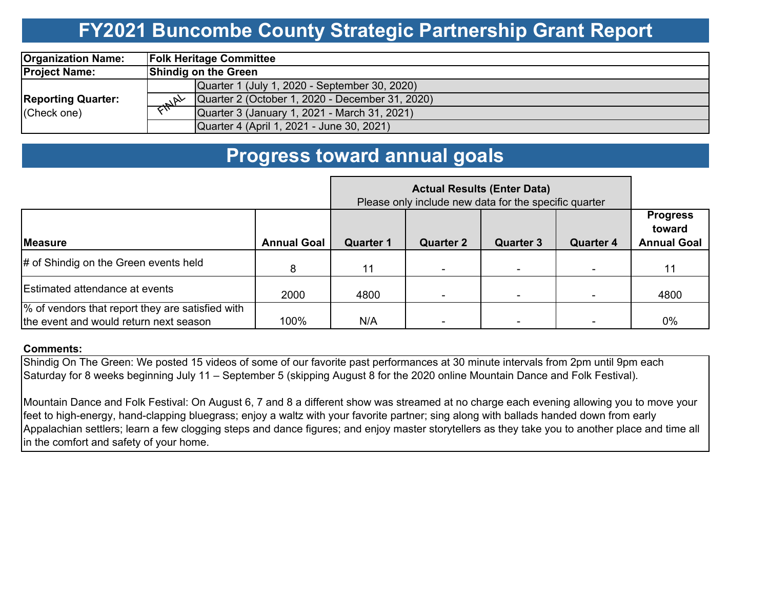### **FY2021 Buncombe County Strategic Partnership Grant Report**

| <b>Organization Name:</b>                |                             |                                                 |  |  | <b>Folk Heritage Committee</b> |  |  |
|------------------------------------------|-----------------------------|-------------------------------------------------|--|--|--------------------------------|--|--|
| <b>Project Name:</b>                     | <b>Shindig on the Green</b> |                                                 |  |  |                                |  |  |
|                                          |                             | Quarter 1 (July 1, 2020 - September 30, 2020)   |  |  |                                |  |  |
| <b>Reporting Quarter:</b><br>(Check one) |                             | Quarter 2 (October 1, 2020 - December 31, 2020) |  |  |                                |  |  |
|                                          |                             | Quarter 3 (January 1, 2021 - March 31, 2021)    |  |  |                                |  |  |
|                                          |                             | Quarter 4 (April 1, 2021 - June 30, 2021)       |  |  |                                |  |  |

### **Progress toward annual goals**

|                                                                                            | <b>Actual Results (Enter Data)</b><br>Please only include new data for the specific quarter |                  |                  |                  |                  |                                                 |
|--------------------------------------------------------------------------------------------|---------------------------------------------------------------------------------------------|------------------|------------------|------------------|------------------|-------------------------------------------------|
| <b>Measure</b>                                                                             | <b>Annual Goal</b>                                                                          | <b>Quarter 1</b> | <b>Quarter 2</b> | <b>Quarter 3</b> | <b>Quarter 4</b> | <b>Progress</b><br>toward<br><b>Annual Goal</b> |
| # of Shindig on the Green events held                                                      | 8                                                                                           | 11               |                  |                  | ۰                | 11                                              |
| <b>Estimated attendance at events</b>                                                      | 2000                                                                                        | 4800             |                  |                  |                  | 4800                                            |
| % of vendors that report they are satisfied with<br>the event and would return next season | 100%                                                                                        | N/A              |                  |                  |                  | 0%                                              |

#### **Comments:**

Shindig On The Green: We posted 15 videos of some of our favorite past performances at 30 minute intervals from 2pm until 9pm each Saturday for 8 weeks beginning July 11 – September 5 (skipping August 8 for the 2020 online Mountain Dance and Folk Festival).

Mountain Dance and Folk Festival: On August 6, 7 and 8 a different show was streamed at no charge each evening allowing you to move your feet to high-energy, hand-clapping bluegrass; enjoy a waltz with your favorite partner; sing along with ballads handed down from early Appalachian settlers; learn a few clogging steps and dance figures; and enjoy master storytellers as they take you to another place and time all in the comfort and safety of your home.